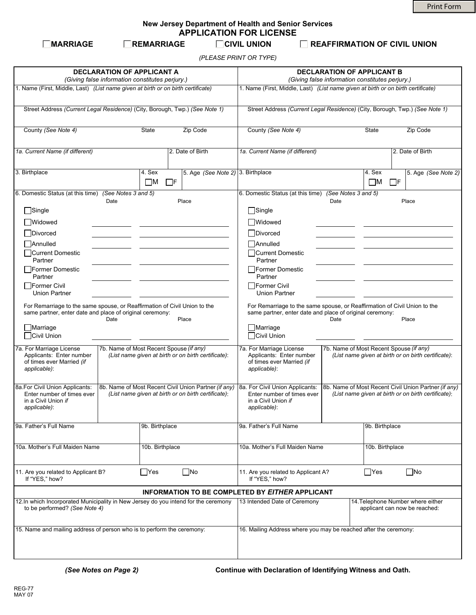Print Form

**New Jersey Department of Health and Senior Services APPLICATION FOR LICENSE**

**MARRIAGE REMARRIAGE CIVIL UNION REAFFIRMATION OF CIVIL UNION**

*(PLEASE PRINT OR TYPE)*

| <b>DECLARATION OF APPLICANT A</b><br>(Giving false information constitutes perjury.)                                                                                                                |                                                                                                             |                                |                                                                                                                                                                    | <b>DECLARATION OF APPLICANT B</b><br>(Giving false information constitutes perjury.)                        |                                                                    |                                   |                     |
|-----------------------------------------------------------------------------------------------------------------------------------------------------------------------------------------------------|-------------------------------------------------------------------------------------------------------------|--------------------------------|--------------------------------------------------------------------------------------------------------------------------------------------------------------------|-------------------------------------------------------------------------------------------------------------|--------------------------------------------------------------------|-----------------------------------|---------------------|
| 1. Name (First, Middle, Last) (List name given at birth or on birth certificate)                                                                                                                    |                                                                                                             |                                |                                                                                                                                                                    | 1. Name (First, Middle, Last) (List name given at birth or on birth certificate)                            |                                                                    |                                   |                     |
| Street Address (Current Legal Residence) (City, Borough, Twp.) (See Note 1)                                                                                                                         |                                                                                                             |                                |                                                                                                                                                                    | Street Address (Current Legal Residence) (City, Borough, Twp.) (See Note 1)                                 |                                                                    |                                   |                     |
| County (See Note 4)                                                                                                                                                                                 |                                                                                                             | State                          | Zip Code                                                                                                                                                           | County (See Note 4)                                                                                         |                                                                    | State                             | Zip Code            |
| 1a. Current Name (if different)                                                                                                                                                                     |                                                                                                             |                                | 2. Date of Birth                                                                                                                                                   | 1a. Current Name (if different)                                                                             |                                                                    |                                   | 2. Date of Birth    |
| 3. Birthplace                                                                                                                                                                                       |                                                                                                             | 4. Sex<br>$\Box$ M<br>$\Box$ F | 5. Age (See Note 2) 3. Birthplace                                                                                                                                  |                                                                                                             |                                                                    | 4. Sex<br>$\square$ M<br>$\Box$ F | 5. Age (See Note 2) |
| 6. Domestic Status (at this time) (See Notes 3 and 5)                                                                                                                                               | Date                                                                                                        |                                | Place                                                                                                                                                              | 6. Domestic Status (at this time) (See Notes 3 and 5)                                                       | Date                                                               |                                   | Place               |
| $\Box$ Single                                                                                                                                                                                       |                                                                                                             |                                |                                                                                                                                                                    | $\Box$ Single                                                                                               |                                                                    |                                   |                     |
| □Widowed                                                                                                                                                                                            |                                                                                                             |                                |                                                                                                                                                                    | <b>Widowed</b>                                                                                              |                                                                    |                                   |                     |
| <b>Divorced</b>                                                                                                                                                                                     |                                                                                                             |                                |                                                                                                                                                                    | Divorced                                                                                                    |                                                                    |                                   |                     |
|                                                                                                                                                                                                     |                                                                                                             |                                |                                                                                                                                                                    |                                                                                                             |                                                                    |                                   |                     |
| Annulled<br>□Current Domestic<br>Partner                                                                                                                                                            |                                                                                                             |                                |                                                                                                                                                                    | Annulled<br>□Current Domestic<br>Partner                                                                    |                                                                    |                                   |                     |
| □ Former Domestic<br>Partner                                                                                                                                                                        |                                                                                                             |                                |                                                                                                                                                                    | □ Former Domestic<br>Partner                                                                                |                                                                    |                                   |                     |
| Former Civil<br><b>Union Partner</b>                                                                                                                                                                |                                                                                                             |                                |                                                                                                                                                                    | Former Civil<br><b>Union Partner</b>                                                                        |                                                                    |                                   |                     |
| For Remarriage to the same spouse, or Reaffirmation of Civil Union to the<br>same partner, enter date and place of original ceremony:<br>Date<br>Place<br>Marriage                                  |                                                                                                             |                                | For Remarriage to the same spouse, or Reaffirmation of Civil Union to the<br>same partner, enter date and place of original ceremony:<br>Date<br>Place<br>Marriage |                                                                                                             |                                                                    |                                   |                     |
| Civil Union                                                                                                                                                                                         |                                                                                                             |                                |                                                                                                                                                                    | Civil Union                                                                                                 |                                                                    |                                   |                     |
| 7a. For Marriage License<br>7b. Name of Most Recent Spouse (if any)<br>Applicants: Enter number<br>(List name given at birth or on birth certificate):<br>of times ever Married (if<br>applicable): |                                                                                                             |                                | 7a. For Marriage License<br>Applicants: Enter number<br>of times ever Married (if<br>applicable):                                                                  | 7b. Name of Most Recent Spouse (if any)<br>(List name given at birth or on birth certificate):              |                                                                    |                                   |                     |
| 8a.For Civil Union Applicants:<br>Enter number of times ever<br>in a Civil Union if<br>applicable):                                                                                                 | 8b. Name of Most Recent Civil Union Partner (if any)<br>(List name given at birth or on birth certificate): |                                | 8a. For Civil Union Applicants:<br>Enter number of times ever<br>in a Civil Union if<br>applicable):                                                               | 8b. Name of Most Recent Civil Union Partner (if any)<br>(List name given at birth or on birth certificate): |                                                                    |                                   |                     |
| 9a. Father's Full Name                                                                                                                                                                              | 9b. Birthplace                                                                                              |                                | 9a. Father's Full Name                                                                                                                                             |                                                                                                             | 9b. Birthplace                                                     |                                   |                     |
| 10a. Mother's Full Maiden Name                                                                                                                                                                      |                                                                                                             | 10b. Birthplace                |                                                                                                                                                                    | 10a. Mother's Full Maiden Name                                                                              |                                                                    | 10b. Birthplace                   |                     |
| $\Box$ Yes<br>$\square$ No<br>11. Are you related to Applicant B?<br>If "YES," how?                                                                                                                 |                                                                                                             |                                | $\Box$ Yes<br>$\Box$ No<br>11. Are you related to Applicant A?<br>If "YES," how?                                                                                   |                                                                                                             |                                                                    |                                   |                     |
|                                                                                                                                                                                                     |                                                                                                             |                                |                                                                                                                                                                    | <b>INFORMATION TO BE COMPLETED BY EITHER APPLICANT</b>                                                      |                                                                    |                                   |                     |
| 12. In which Incorporated Municipality in New Jersey do you intend for the ceremony<br>to be performed? (See Note 4)                                                                                |                                                                                                             |                                | 13 Intended Date of Ceremony                                                                                                                                       |                                                                                                             | 14. Telephone Number where either<br>applicant can now be reached: |                                   |                     |
| 15. Name and mailing address of person who is to perform the ceremony:                                                                                                                              |                                                                                                             |                                | 16. Mailing Address where you may be reached after the ceremony:                                                                                                   |                                                                                                             |                                                                    |                                   |                     |